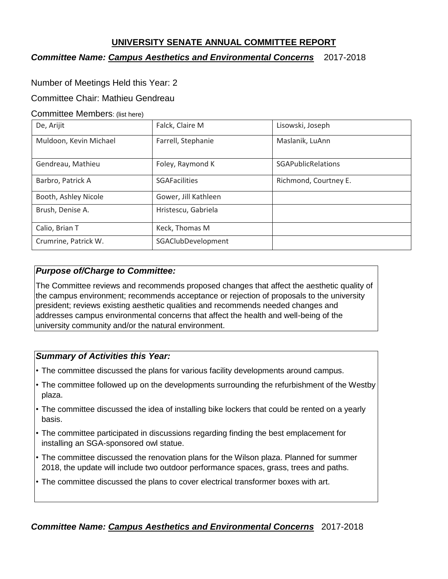## **UNIVERSITY SENATE ANNUAL COMMITTEE REPORT**

## *Committee Name: Campus Aesthetics and Environmental Concerns* 2017-2018

## Number of Meetings Held this Year: 2

#### Committee Chair: Mathieu Gendreau

#### Committee Members: (list here)

| De, Arijit             | Falck, Claire M      | Lisowski, Joseph          |
|------------------------|----------------------|---------------------------|
| Muldoon, Kevin Michael | Farrell, Stephanie   | Maslanik, LuAnn           |
| Gendreau, Mathieu      | Foley, Raymond K     | <b>SGAPublicRelations</b> |
| Barbro, Patrick A      | <b>SGAFacilities</b> | Richmond, Courtney E.     |
| Booth, Ashley Nicole   | Gower, Jill Kathleen |                           |
| Brush, Denise A.       | Hristescu, Gabriela  |                           |
| Calio, Brian T         | Keck, Thomas M       |                           |
| Crumrine, Patrick W.   | SGAClubDevelopment   |                           |

## *Purpose of/Charge to Committee:*

The Committee reviews and recommends proposed changes that affect the aesthetic quality of the campus environment; recommends acceptance or rejection of proposals to the university president; reviews existing aesthetic qualities and recommends needed changes and addresses campus environmental concerns that affect the health and well-being of the university community and/or the natural environment.

## *Summary of Activities this Year:*

- The committee discussed the plans for various facility developments around campus.
- The committee followed up on the developments surrounding the refurbishment of the Westby plaza.
- The committee discussed the idea of installing bike lockers that could be rented on a yearly basis.
- The committee participated in discussions regarding finding the best emplacement for installing an SGA-sponsored owl statue.
- The committee discussed the renovation plans for the Wilson plaza. Planned for summer 2018, the update will include two outdoor performance spaces, grass, trees and paths.
- The committee discussed the plans to cover electrical transformer boxes with art.

## *Committee Name: Campus Aesthetics and Environmental Concerns* 2017-2018